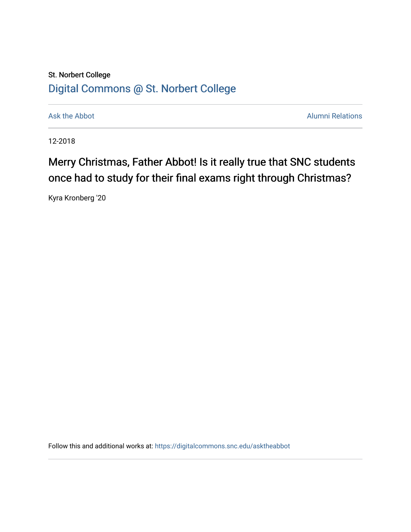## St. Norbert College [Digital Commons @ St. Norbert College](https://digitalcommons.snc.edu/)

[Ask the Abbot](https://digitalcommons.snc.edu/asktheabbot) **Alumni Relations** Ask the Abbot **Alumni Relations** 

12-2018

## Merry Christmas, Father Abbot! Is it really true that SNC students once had to study for their final exams right through Christmas?

Kyra Kronberg '20

Follow this and additional works at: [https://digitalcommons.snc.edu/asktheabbot](https://digitalcommons.snc.edu/asktheabbot?utm_source=digitalcommons.snc.edu%2Fasktheabbot%2F105&utm_medium=PDF&utm_campaign=PDFCoverPages)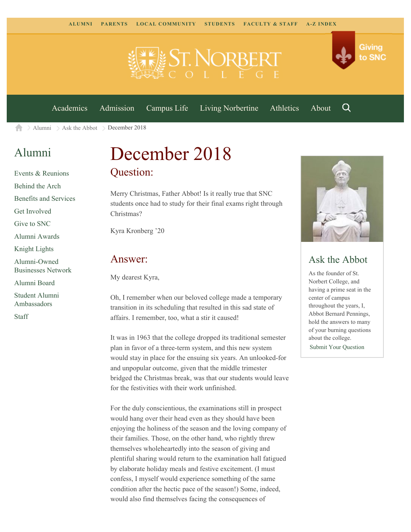

[Academics](https://www.snc.edu/academics) [Admission](https://www.snc.edu/admission) [Campus Life](https://www.snc.edu/campuslife) [Living Norbertine](https://www.snc.edu/livingnorbertine) [Athletics](https://www.snc.edu/athletics) [About](https://www.snc.edu/about)

Q

Giving

to SNC

 $\geq$  [Alumni](https://www.snc.edu/alumni/)  $\geq$  [Ask the Abbot](https://www.snc.edu/alumni/abbot/)  $\geq$  December 2018 合

## [Alumni](https://www.snc.edu/alumni/index.html)

[Events & Reunions](https://www.snc.edu/alumni/event/index.html) [Behind the Arch](https://www.snc.edu/alumni/event/behindthearch/) [Benefits and Services](https://www.snc.edu/alumni/benefits.html) [Get Involved](https://www.snc.edu/alumni/getinvolved.html) [Give to SNC](http://giving.snc.edu/) [Alumni Awards](https://www.snc.edu/alumni/awards/index.html) [Knight Lights](https://www.snc.edu/alumni/knightlights/index.html) [Alumni-Owned](https://www.snc.edu/alumni/directory/index.html) [Businesses Network](https://www.snc.edu/alumni/directory/index.html) [Alumni Board](https://www.snc.edu/alumni/alumniboard.html) [Student Alumni](https://www.snc.edu/alumni/saa.html) [Ambassadors](https://www.snc.edu/alumni/saa.html)

[Staff](https://www.snc.edu/alumni/contactus.html)

# December 2018 Question:

Merry Christmas, Father Abbot! Is it really true that SNC students once had to study for their final exams right through Christmas?

Kyra Kronberg '20

#### Answer:

My dearest Kyra,

Oh, I remember when our beloved college made a temporary transition in its scheduling that resulted in this sad state of affairs. I remember, too, what a stir it caused!

It was in 1963 that the college dropped its traditional semester plan in favor of a three-term system, and this new system would stay in place for the ensuing six years. An unlooked-for and unpopular outcome, given that the middle trimester bridged the Christmas break, was that our students would leave for the festivities with their work unfinished.

For the duly conscientious, the examinations still in prospect would hang over their head even as they should have been enjoying the holiness of the season and the loving company of their families. Those, on the other hand, who rightly threw themselves wholeheartedly into the season of giving and plentiful sharing would return to the examination hall fatigued by elaborate holiday meals and festive excitement. (I must confess, I myself would experience something of the same condition after the hectic pace of the season!) Some, indeed, would also find themselves facing the consequences of



### Ask the Abbot

As the founder of St. Norbert College, and having a prime seat in the center of campus throughout the years, I, Abbot Bernard Pennings, hold the answers to many of your burning questions about the college.

[Submit Your Question](https://www.snc.edu/alumni/abbot/index.html)